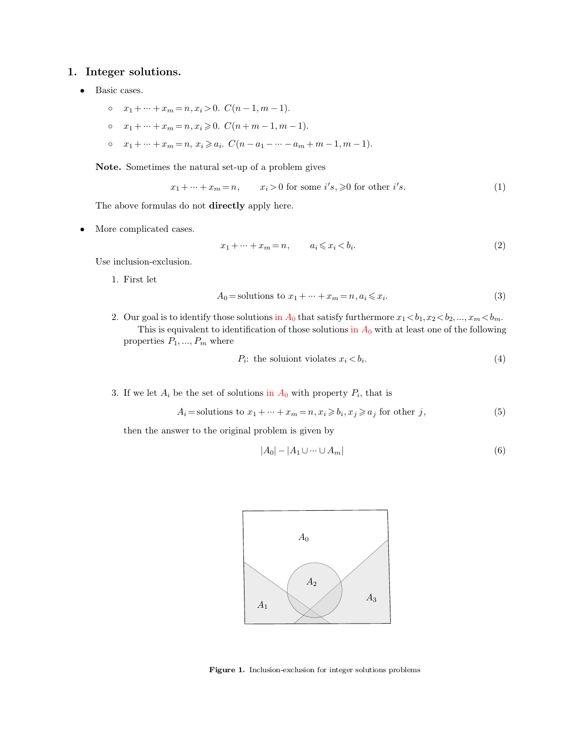- -
	-
- 1. Integer solutions.<br>
 Basic cases.<br>  $x_1 + \cdots + x_m = n, x_i > 0.$   $C(n-1, m-1).$ <br>  $\circ$   $x_1 + \cdots + x_m = n, x_i \ge 0.$   $C(n+m-1, m-1).$ <br>  $\circ$   $x_1 + \cdots + x_m = n, x_i \ge a_i.$   $C(n-a_1 \cdots a_m + m-1, m-1)$ Basic cases.<br>  $\circ$   $x_1 + \cdots + x_m = n, x_i > 0.$   $C(n-1, m-1).$ <br>  $\circ$   $x_1 + \cdots + x_m = n, x_i \geq 0.$   $C(n+m-1, m-1).$ <br>  $\circ$   $x_1 + \cdots + x_m = n, x_i \geq a_i.$   $C(n-a_1 - \cdots - a_m + m-1, m-1).$ <br> **Note.** Sometimes the natural set-up of a problem gives<br>  $x_1 + \cdots + x_m = n$  $x_n = n, x_i \ge a_i$ .  $C(n - a_1 - \cdots - a_m + m - 1, m$ <br>the natural set-up of a problem gives<br> $x_1 + \cdots + x_m = n,$   $x_i > 0$  for some  $i's, \ge 0$ <br>as do not **directly** apply here.

Note. Sometimes the natural set-up of a problem gives

$$
x_m = n, x_i \ge a_i. \ C(n - a_1 - \dots - a_m + m - 1, m - 1).
$$
  
as the natural set-up of a problem gives  

$$
x_1 + \dots + x_m = n, \qquad x_i > 0 \text{ for some } i's, \ge 0 \text{ for other } i's.
$$
 (1)  
les do not directly apply here

The above formulas do not directly apply here.

The above formulas do not only More complicated cases.<br>Use inclusion-exclusion.<br>1 First let the complicated case<br>inclusion-exclusion inclusion-exclusion<br>1. First let

irectly apply here.

\n
$$
x_{1} + \dots + x_{m} = n, \qquad a_{i} \leq x_{i} < b_{i}.
$$
\n
$$
A_{0} = \text{solutions to } x_{1} + \dots + x_{m} = n, a_{i} \leq x_{i}.
$$
\n(3)

\nthose solutions in  $A_{0}$  that satisfy furthermore  $x_{1} < b_{1}$ ,  $x_{2} < b_{2}$ ,  $x_{m} < b_{m}$ .

$$
A_0 = \text{solutions to } x_1 + \dots + x_m = n, a_i \leq x_i. \tag{3}
$$

inclusion-exclusion.<br>
1. First let<br>  $A_0 =$  solutions to  $x_1 + \dots + x_m = n, a_i \le x_i$ .<br>
2. Our goal is to identify those solutions in  $A_0$  that satisfy furthermore  $x_1 < b_1, x_2 < b_2, ..., x_m < b_m$ .<br>
This is equivalent to identification o 2. Our goal is to identify those solutions in  $A_0$  that satisfy furthermore  $x_1 < b_1, x_2 < b_2, ..., x_m < b_m$ .<br>This is equivalent to identification of those solutions in  $A_0$  with at least one of the following properties  $P_1, ..., P$ the solutions in  $A_0$  that satisfy furthermore  $x_1$ <br>fication of those solutions in  $A_0$  with at<br>: the soluiont violates  $x_i < b_i$ . 13. If we let *A*<sup>*i*</sup> be the set of solutions in *A*<sup>0</sup> with property *P*<sup>*i*</sup>, that  $A_i =$  solutions to  $x_i + ... + x_i = n$ ,  $x_i > b_i$ ,  $x_i > a_i$  for  $b_i$  $b_i$ , that is<br>  $> a_1$  for other is

 $P_i$ : the solution violates  $x_i < b_i$ . *:* (4)

*P<sub>i</sub>*: the solutions to *x*<sub>1</sub> +  $\cdots$  + *x*<sub>*m*</sub> = *n*, *x*<sub>*i*</sub>  $\geq$  *b<sub>i</sub>*, *x*<sub>*j*</sub>  $\geq$  *a<sub>j</sub>* for *w*er to the original problem is given by If we let  $A_i$  be the set of solutions in  $A_0$  with property  $P_i$ , then  $A_i$  = solutions to  $x_1 + \dots + x_m = n, x_i \geq b_i, x_j \geq 0$ <br>then the answer to the original problem is given by

$$
P_i: \text{ the solution violates } x_i < b_i. \tag{4}
$$
\n
$$
\text{we that } P_i: \text{ the solution is } \text{in } A_0 \text{ with property } P_i \text{, that is}
$$
\n
$$
A_i = \text{solutions to } x_1 + \dots + x_m = n, x_i \geqslant b_i, x_j \geqslant a_j \text{ for other } j, \tag{5}
$$
\n
$$
\text{we have to the original problem is given by}
$$

problem is given by  

$$
|A_0| - |A_1 \cup \dots \cup A_m|
$$
(6)



**Figure 1.** Inclusion-exclusion for integer solutions problems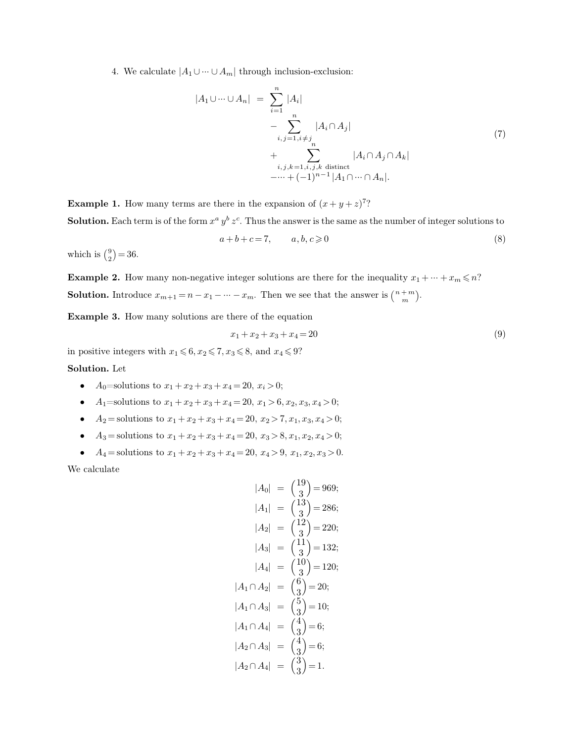4. We calculate  $|A_1 \cup \cdots \cup A_m|$  through inclusion-exclusion:

4. We calculate 
$$
|A_1 \cup \cdots \cup A_m|
$$
 through inclusion-exclusion:  
\n
$$
|A_1 \cup \cdots \cup A_n| = \sum_{i=1}^n |A_i|
$$
\n
$$
- \sum_{i,j=1, i \neq j}^n |A_i \cap A_j|
$$
\n(7)  
\n
$$
+ \sum_{i,j,k=1, i,j,k \text{ distinct}} |A_i \cap A_j \cap A_k|
$$
\n(7)  
\nExample 1. How many terms are there in the expansion of  $(x + y + z)^{7}$ ?  
\nSolution. Each term is of the form  $x^a y^b z^c$ . Thus the answer is the same as the number of integer solutions to

**Example 1.** How many terms are there in the<br>**Solution.** Each term is of the form  $x^a y^b z^c$ . Thus  $a$   $y$ <sup>*b*</sup>  $z$ <sup>*c*</sup>. Thus *i, j, k*=1*,i, j, k* distinct<br>  $-\cdots + (-1)^{n-1} |A_1 \cap \cdots \cap A_n|$ .<br>
in the expansion of  $(x + y + z)^{7}$ ?<br>  $\vdots$  Thus the answer is the same as the number of integer solutions to<br>  $+c=7$   $a, b, c>0$  (8) here in the expansion of  $(x + y + z)^7$ ?<br>  $y^b z^c$ . Thus the answer is the same as the number of integer solutions to<br>  $a + b + c = 7$ ,  $a, b, c \ge 0$  (8) **Example 1.** How<br>**Solution.** Each te<br>which is  $\binom{9}{2} = 36$ .

$$
a+b+c=7, \qquad a,b,c \geqslant 0 \tag{8}
$$

 $_{2}^{9}$  $) = 36.$ 

**Example 2.** How many non-negative integer solutions are there for the inequality  $x_1 + \cdots + x_m \leq n$ ? which is  $\binom{9}{2} = 36$ .<br> **Example 2.** How many non-negative integer solutions are there for the inequality  $x_1 + \dots + x_m$ <br> **Solution.** Introduce  $x_{m+1} = n - x_1 - \dots - x_m$ . Then we see that the answer is  $\binom{n+m}{m}$ .<br> **Example 3.** *m*  $\bigg)$ . **Example 2.** How many non-negative integer solutions are there for **Solution.** Introduce  $x_{m+1} = n - x_1 - \cdots - x_m$ . Then we see that the **Example 3.** How many solutions are there of the equation  $x_1 + x_2 + x_3 + x_4 = 20$ **in positive integers with**  $x_1 \leq 6, x_2 \leq 7, x_3 \leq 8,$  and  $x_4 \leq 9$ ?<br> **Solution.** Let

$$
x_1 + x_2 + x_3 + x_4 = 20 \tag{9}
$$

#### **Solution.** Let

- 
- 
- 
- 
- $x_1 + x_2 + x_3 + x_4 = 20$ <br>
in positive integers with  $x_1 \le 6, x_2 \le 7, x_3 \le 8$ , and  $x_4 \le 9$ ?<br> **Solution.** Let<br>
 A<sub>0</sub>=solutions to  $x_1 + x_2 + x_3 + x_4 = 20$ ,  $x_1 > 6$ ,  $x_2, x_3, x_4 > 0$ ;<br>
 A<sub>1</sub>=solutions to  $x_1 + x_2 + x_3 + x_4 = 20$

$$
|A_0| = {19 \choose 3} = 969;
$$
  
\n
$$
|A_1| = {13 \choose 3} = 286;
$$
  
\n
$$
|A_2| = {12 \choose 3} = 220;
$$
  
\n
$$
|A_3| = {11 \choose 3} = 132;
$$
  
\n
$$
|A_4| = {10 \choose 3} = 120;
$$
  
\n
$$
|A_1 \cap A_2| = {6 \choose 3} = 20;
$$
  
\n
$$
|A_1 \cap A_3| = {5 \choose 3} = 10;
$$
  
\n
$$
|A_1 \cap A_4| = {4 \choose 3} = 6;
$$
  
\n
$$
|A_2 \cap A_3| = {4 \choose 3} = 6;
$$
  
\n
$$
|A_2 \cap A_4| = {3 \choose 3} = 1.
$$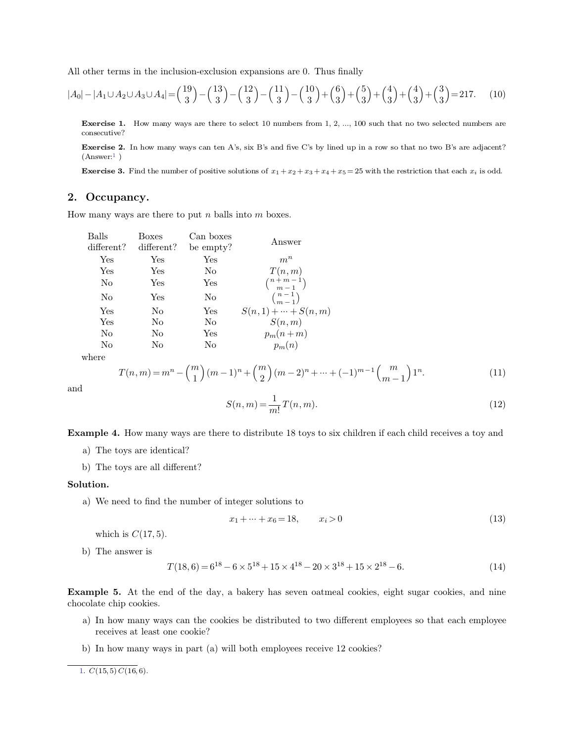All other terms in the inclusion-exclusion expansions are 0. Thus finally

$$
|A_0| - |A_1 \cup A_2 \cup A_3 \cup A_4| = {19 \choose 3} - {13 \choose 3} - {12 \choose 3} - {11 \choose 3} - {10 \choose 3} + {6 \choose 3} + {4 \choose 3} + {4 \choose 3} + {3 \choose 3} = 217. \tag{10}
$$

**Exercise 1.** How many ways are there to select 10 numbers from 1, 2, ..., 100 such that no two selected numbers are consecutive?

**Exercise 1.** How many ways are there to select 10 numbers from 1, 2, ..., 100 such that no two selected numbers are consecutive?<br> **Exercise 2.** In how many ways can ten A's, six B's and five C's by lined up in a row so t  $(Answer:1)$ **Exercise 2.** In how many ways can ten A's, six B's and five C's by lined up in a row so that no two B's are adjacent? (Answer:<sup>1</sup>)<br>(Answer:<sup>1</sup>)<br>**Exercise 3.** Find the number of positive solutions of  $x_1 + x_2 + x_3 + x_4 + x_5 =$ 

<span id="page-2-0"></span>**Exercise 3.** Find the number of positive solutions of  $x_1 + x_2 + x_3 + x_4 + x_5 = 25$  with the restriction that each  $x_i$  is odd.

# **2. Occupancy.**

How many ways are there to put  $n$  balls into  $m$  boxes.

| Balls<br>$differential$ ? | <b>Boxes</b><br>different? | Can boxes<br>be empty? | Answer                     |
|---------------------------|----------------------------|------------------------|----------------------------|
| Yes                       | Yes                        | Yes                    | $m^n$                      |
| Yes                       | Yes                        | No                     | T(n,m)                     |
| No                        | Yes                        | Yes                    | $\binom{n+m-1}{m-1}$       |
| No                        | Yes                        | No                     | $\binom{n-1}{m-1}$         |
| Yes                       | No                         | Yes                    | $S(n,1) + \cdots + S(n,m)$ |
| Yes                       | N <sub>0</sub>             | No.                    | S(n,m)                     |
| No                        | N <sub>o</sub>             | Yes                    | $p_m(n+m)$                 |
| No                        | No                         | No                     | $p_m(n)$                   |
| here                      |                            |                        |                            |

where

$$
T(n,m) = m^{n} - \binom{m}{1}(m-1)^{n} + \binom{m}{2}(m-2)^{n} + \dots + (-1)^{m-1}\binom{m}{m-1}1^{n}.
$$
\n(11)\n
$$
S(n,m) = \frac{1}{m!}T(n,m).
$$
\n(12)

and

and  
\n
$$
S(n,m) = \frac{1}{m!}T(n,m).
$$
\n(12)  
\nExample 4. How many ways are there to distribute 18 toys to six children if each child receives a toy and a) The toys are identical?

**ample 4.** How many ways are the<br>a) The toys are identical?<br>b) The toys are all different? ample 4. How many ways are there the task of the toys are identical?<br>b) The toys are all different?<br>ution.

- 
- 

## **Solution.**

a) The toys are identical?<br>b) The toys are all different?<br>**lution.**<br>a) We need to find the number of integer solutions to **a**) We need to find the n<br>which is  $C(17, 5)$ .<br>b) The answer is<br> $T(18)$ 

integer solutions to  

$$
x_1 + \dots + x_6 = 18
$$
,  $x_i > 0$  (13)

$$
x_1 + \dots + x_6 = 18, \qquad x_i > 0
$$
\n
$$
T(18, 6) = 6^{18} - 6 \times 5^{18} + 15 \times 4^{18} - 20 \times 3^{18} + 15 \times 2^{18} - 6.
$$
\n
$$
(14)
$$

**Example 5.** At the end of the day, a bakery has seven oatmeal cookies, eight sugar cookies, and nine chocolate chip cookies. (14) b) The answer is  $T($ <br>**Example 5.** At the end cookies.<br>a) In how many ways  $\epsilon$  $T(18,6) = 6^{18} - 6 \times 5^{18} + 15 \times 4^{18} - 20 \times 3^{18} + 15 \times 2^{18} - 6.$  (14)<br>ample 5. At the end of the day, a bakery has seven oatmeal cookies, eight sugar cookies, and nine<br>colate chip cookies.<br>a) In how many ways can the c **ple 5.** At the end of the day, a b<br>the chip cookies.<br>In how many ways can the cookies<br>receives at least one cookie?<br>In how many ways in part (a) will b

- chocolate chip cookies.<br>
a) In how many ways can the cookies be distributed to two different employees so that each employee<br>
receives at least one cookie?<br>
b) In how many ways in part (a) will both employees receive 12 co
	-

[1.](#page-2-0)  $C(15,5) C(16,6)$ .